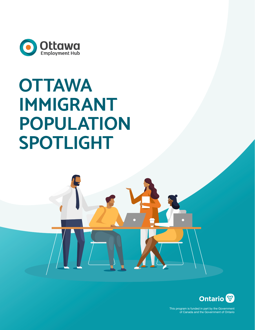

# **OTTAWA IMMIGRANT POPULATION SPOTLIGHT**



This program is funded in part by the Government of Canada and the Government of Ontario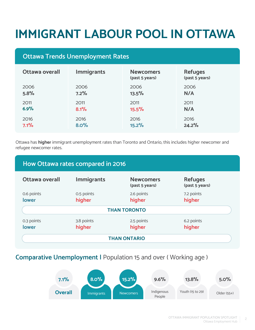# **IMMIGRANT LABOUR POOL IN OTTAWA**

# **Ottawa Trends Unemployment Rates**

| Ottawa overall | <b>Immigrants</b> | <b>Newcomers</b><br>(past 5 years) | <b>Refuges</b><br>(past 5 years) |
|----------------|-------------------|------------------------------------|----------------------------------|
| 2006           | 2006              | 2006                               | 2006                             |
| 5.8%           | 7.2%              | 13.5%                              | N/A                              |
| 2011           | 2011              | 2011                               | 2011                             |
| 6.9%           | 8.1%              | 15.5%                              | N/A                              |
| 2016           | 2016              | 2016                               | 2016                             |
| 7.1%           | 8.0%              | 15.2%                              | 24.2%                            |

Ottawa has **higher** immigrant unemployment rates than Toronto and Ontario, this includes higher newcomer and refugee newcomer rates.

## **How Ottawa rates compared in 2016**

| Ottawa overall             | <b>Immigrants</b>    | <b>Newcomers</b><br>(past 5 years) | <b>Refuges</b><br>(past 5 years) |  |
|----------------------------|----------------------|------------------------------------|----------------------------------|--|
| 0.6 points<br><b>lower</b> | 0.5 points<br>higher | 2.6 points<br>higher               | 7.2 points<br>higher             |  |
| <b>THAN TORONTO</b>        |                      |                                    |                                  |  |
| 0.3 points<br><b>lower</b> | 3.8 points<br>higher | 2.5 points<br>higher               | 6.2 points<br>higher             |  |
| <b>THAN ONTARIO</b>        |                      |                                    |                                  |  |

### **Comparative Unemployment |** Population 15 and over ( Working age )

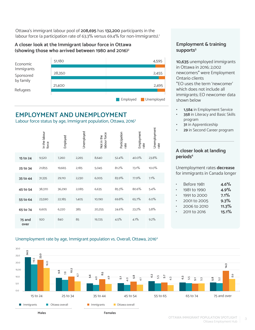Ottawa's immigrant labour pool of **208,695** has **132,200** participants in the labour force (a participation rate of 63.3% versus 69.4% for non-Immigrants).<sup>1</sup>

#### **A closer look at the Immigrant labour force in Ottawa (showing those who arrived between 1980 and 2016)2**



# **EMPLOYMENT AND UNEMPLOYMENT**

Labour force status by age, Immigrant population, Ottawa, 2016<sup>3</sup>

|                | In the labour<br>force | Employed | Unemployed | Not in the<br>labour force | Participation<br>rate | Employment<br>rate | Unemployment<br>rate |
|----------------|------------------------|----------|------------|----------------------------|-----------------------|--------------------|----------------------|
| 15 to 24       | 9,520                  | 7,260    | 2,265      | 8,640                      | 52.4%                 | 40.0%              | 23.8%                |
| 25 to 34       | 21,855                 | 19,665   | 2,185      | 5,045                      | 81.2%                 | 73.1%              | 10.0%                |
| 35 to 44       | 31,335                 | 29,110   | 2,230      | 6,005                      | 83.9%                 | 77.9%              | 7.1%                 |
| 45 to 54       | 38,370                 | 36,290   | 2,085      | 6,635                      | 85.3%                 | 80.6%              | 5.4%                 |
| 55 to 64       | 23,590                 | 22,185   | 1,405      | 10,190                     | 69.8%                 | 65.7%              | 6.0%                 |
| 65 to 74       | 6,605                  | 6,220    | 385        | 20,255                     | 24.6%                 | 23.2%              | 5.8%                 |
| 75 and<br>over | 920                    | 840      | 85         | 19,725                     | 4.5%                  | 4.1%               | 9.2%                 |

#### **Employment & training**  supports<sup>5</sup>

**10,635** unemployed immigrants in Ottawa in 2016; 2,002 newcomers\* were Employment Ontario clients \*EO uses the term 'newcomer'

which does not include all immigrants; EO newcomer data shown below

- **• 1,584** in Employment Service
- **• 358** in Literacy and Basic Skills program
- **• 31** in Apprenticeship
- **• 29** in Second Career program

#### **A closer look at landing periods**<sup>6</sup>

Unemployment rates **decrease** for immigrants in Canada longer

| Before 1981  | 4.6%  |
|--------------|-------|
| 1981 to 1990 | 4.9%  |
| 1991 to 2000 | 7.1%  |
| 2001 to 2005 | 9.3%  |
| 2006 to 2010 | 11.3% |
| 2011 to 2016 | 15.1% |
|              |       |

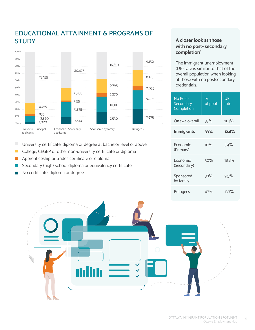

# **EDUCATIONAL ATTAINMENT & PROGRAMS OF STUDY**

 $\Box$ University certificate, diploma or degree at bachelor level or above

- College, CEGEP or other non-university certificate or diploma  $\mathbb{R}^3$
- Apprenticeship or trades certificate or diploma  $\Box$
- Secondary (high) school diploma or equivalency certificate
- No certificate, diploma or degree

#### **A closer look at those with no post- secondary completion7**

The immigrant unemployment (UE) rate is similar to that of the overall population when looking at those with no postsecondary credentials.

| No Post-<br>Secondary<br>Completion | %<br>of pool | UE<br>rate |
|-------------------------------------|--------------|------------|
| Ottawa overall                      | 37%          | $11.4\%$   |
| <b>Immigrants</b>                   | 33%          | 12.6%      |
| Economic<br>(Primary)               | 10%          | 3.4%       |
| Economic<br>(Secondary)             | 30%          | 18.8%      |
| Sponsored<br>by family              | 38%          | 9.5%       |
| Refugees                            | 47%          | $13.7\%$   |

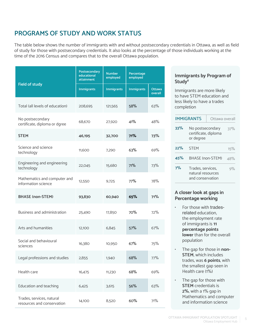# **PROGRAMS OF STUDY AND WORK STATUS**

The table below shows the number of immigrants with and without postsecondary credentials in Ottawa, as well as field of study for those with postsecondary credentials. It also looks at the percentage of those individuals working at the time of the 2016 Census and compares that to the overall Ottawa population.

|                                                         | Postsecondary<br>educational<br>attainment | <b>Number</b><br>employed | Percentage<br>employed |                          |
|---------------------------------------------------------|--------------------------------------------|---------------------------|------------------------|--------------------------|
| <b>Field of study</b>                                   | <b>Immigrants</b>                          | <b>Immigrants</b>         | <b>Immigrants</b>      | <b>Ottawa</b><br>overall |
| Total (all levels of education)                         | 208,695                                    | 121,565                   | 58%                    | 63%                      |
| No postsecondary<br>certificate, diploma or dgree       | 68,670                                     | 27,920                    | 41%                    | 48%                      |
| <b>STEM</b>                                             | 46,195                                     | 32,700                    | 71%                    | 73%                      |
| Science and science<br>technology                       | 11,600                                     | 7,290                     | 63%                    | 69%                      |
| Engineering and engineering<br>technology               | 22,045                                     | 15,680                    | 71%                    | 73%                      |
| Mathematics and computer and<br>information science     | 12,550                                     | 9,725                     | 77%                    | 78%                      |
| <b>BHASE (non-STEM)</b>                                 | 93,830                                     | 60,940                    | 65%                    | 71%                      |
| Business and administration                             | 25,490                                     | 17,850                    | 70%                    | 72%                      |
| Arts and humanities                                     | 12,100                                     | 6,845                     | 57%                    | 67%                      |
| Social and behavioural<br>sciences                      | 16,380                                     | 10,950                    | 67%                    | 75%                      |
| Legal professions and studies                           | 2,855                                      | 1,940                     | 68%                    | 77%                      |
| Health care                                             | 16,475                                     | 11,230                    | 68%                    | 69%                      |
| Education and teaching                                  | 6,425                                      | 3,615                     | 56%                    | 63%                      |
| Trades, services, natural<br>resources and conservation | 14,100                                     | 8,520                     | 60%                    | 71%                      |

#### **Immigrants by Program of Study8**

Immigrants are more likely to have STEM education and less likely to have a trades completion

| <b>IMMIGRANTS</b> |                                                            | Ottawa overall                           |     |
|-------------------|------------------------------------------------------------|------------------------------------------|-----|
| 33%               | or degree                                                  | No postsecondary<br>certificate, diploma |     |
| 22%               | <b>STFM</b>                                                |                                          | 15% |
| 45%               | <b>BHASE (non-STEM)</b>                                    |                                          | 48% |
| 7%                | Trades, services,<br>natural resources<br>and conservation |                                          | 9%  |

#### **A closer look at gaps in Percentage working**

- For those with tradesrelated education, the employment rate of immigrants is **11 percentage points lower** than for the overall population
- The gap for those in **non-STEM**, which includes trades, was **6 points**, with the smallest gap seen in Health care (1%)
- The gap for those with **STEM** credentials is **2%**, with a 1% gap in Mathematics and computer and information science

5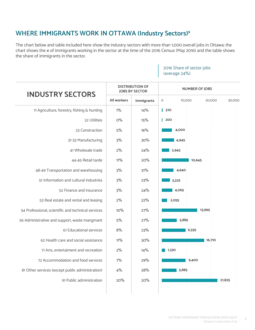# **WHERE IMMIGRANTS WORK IN OTTAWA (Industry Sectors)9**

The chart below and table included here show the industry sectors with more than 1,000 overall jobs in Ottawa; the chart shows the # of immigrants working in the sector at the time of the 2016 Census (May 2016) and the table shows the share of immigrants in the sector.

| <b>INDUSTRY SECTORS</b>                            |                                                                                                                                                                                                                                                                                                                                                                                                                                                                                        |                  | <b>NUMBER OF JOBS</b> |  |  |
|----------------------------------------------------|----------------------------------------------------------------------------------------------------------------------------------------------------------------------------------------------------------------------------------------------------------------------------------------------------------------------------------------------------------------------------------------------------------------------------------------------------------------------------------------|------------------|-----------------------|--|--|
|                                                    | <b>DISTRIBUTION OF</b><br><b>JOBS BY SECTOR</b><br><b>All workers</b><br>$\circ$<br>10,000<br><b>Immigrants</b><br>  370<br>$1\%$<br>14%<br>$O\%$<br>15%<br>200<br>5%<br>16%<br>4,000<br>3%<br>30%<br>4,945<br>2%<br>24%<br>2,945<br>11%<br>20%<br>3%<br>31%<br>4,640<br>3%<br>23%<br>3,225<br>3%<br>24%<br>4,065<br>2%<br>22%<br>2,055<br>10%<br>27%<br>5%<br>27%<br>5,885<br>8%<br>23%<br>9,335<br>11%<br>30%<br>2%<br>14%<br>1,330<br>7%<br>29%<br>4%<br>28%<br>5,885<br>20%<br>20% | 30,000<br>20,000 |                       |  |  |
| 11 Agriculture, forestry, fishing & hunting        |                                                                                                                                                                                                                                                                                                                                                                                                                                                                                        |                  |                       |  |  |
| 22 Utilities                                       |                                                                                                                                                                                                                                                                                                                                                                                                                                                                                        |                  |                       |  |  |
| 23 Constraction                                    |                                                                                                                                                                                                                                                                                                                                                                                                                                                                                        |                  |                       |  |  |
| 31-33 Manufacturing                                |                                                                                                                                                                                                                                                                                                                                                                                                                                                                                        |                  |                       |  |  |
| 41 Wholesale trade                                 |                                                                                                                                                                                                                                                                                                                                                                                                                                                                                        |                  |                       |  |  |
| 44-45 Retail tarde                                 |                                                                                                                                                                                                                                                                                                                                                                                                                                                                                        |                  | 10,645                |  |  |
| 48-49 Transportation and warehousing               |                                                                                                                                                                                                                                                                                                                                                                                                                                                                                        |                  |                       |  |  |
| 51 Information and cultural industries             |                                                                                                                                                                                                                                                                                                                                                                                                                                                                                        |                  |                       |  |  |
| 52 Finance and insurance                           |                                                                                                                                                                                                                                                                                                                                                                                                                                                                                        |                  |                       |  |  |
| 53 Real estate and rental and leasing              |                                                                                                                                                                                                                                                                                                                                                                                                                                                                                        |                  |                       |  |  |
| 54 Professional, scientific and technical services |                                                                                                                                                                                                                                                                                                                                                                                                                                                                                        |                  | 13,995                |  |  |
| 56 Administrative and support, waste mangmant      |                                                                                                                                                                                                                                                                                                                                                                                                                                                                                        |                  |                       |  |  |
| 61 Educational services                            |                                                                                                                                                                                                                                                                                                                                                                                                                                                                                        |                  |                       |  |  |
| 62 Health care and social assistance               |                                                                                                                                                                                                                                                                                                                                                                                                                                                                                        |                  | 16,710                |  |  |
| 71 Arts, entertaiment and recreation               |                                                                                                                                                                                                                                                                                                                                                                                                                                                                                        |                  |                       |  |  |
| 72 Accommodation and food services                 |                                                                                                                                                                                                                                                                                                                                                                                                                                                                                        |                  | 9,400                 |  |  |
| 81 Other services (except public administration)   |                                                                                                                                                                                                                                                                                                                                                                                                                                                                                        |                  |                       |  |  |
| 91 Public administration                           |                                                                                                                                                                                                                                                                                                                                                                                                                                                                                        |                  | 21,825                |  |  |
|                                                    |                                                                                                                                                                                                                                                                                                                                                                                                                                                                                        |                  |                       |  |  |

#### 2016 Share of sector jobs (average 24%)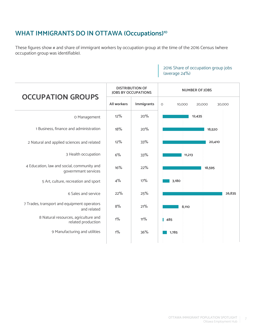# **WHAT IMMIGRANTS DO IN OTTAWA (Occupations)10**

These figures show # and share of immigrant workers by occupation group at the time of the 2016 Census (where occupation group was identifiable).

#### 2016 Share of occupation group jobs (average 24%)

| 10,000<br>20,000 | 30,000                |
|------------------|-----------------------|
| 12,435           |                       |
|                  | 18,520                |
|                  | 20,410                |
| 11,213           |                       |
| 18,595           |                       |
| 3,180            |                       |
|                  | 26,835                |
| 8,110            |                       |
| 485              |                       |
| 1,785            |                       |
|                  | <b>NUMBER OF JOBS</b> |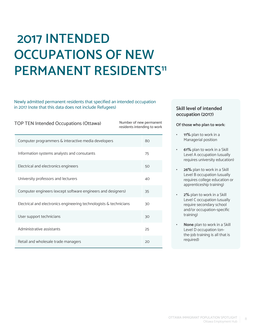# **2017 INTENDED OCCUPATIONS OF NEW PERMANENT RESIDENTS<sup>11</sup>**

#### Newly admitted permanent residents that specified an intended occupation in 2017 (note that this data does not include Refugees)

| <b>TOP TEN Intended Occupations (Ottawa)</b>                       | Number of new permanent<br>residents intending to work |    |
|--------------------------------------------------------------------|--------------------------------------------------------|----|
| Computer programmers & interactive media developers                |                                                        | 80 |
| Information systems analysts and consutants                        |                                                        | 75 |
| Electrical and electronics engineers                               |                                                        | 50 |
| University professors and lecturers                                |                                                        | 40 |
| Computer engineers (except software engineers and designers)       |                                                        | 35 |
| Electrical and electronics engineering technologists & technicians |                                                        | 30 |
| User support technicians                                           |                                                        | 30 |
| Administrative assistants                                          |                                                        | 25 |
| Retail and wholesale trade managers                                |                                                        | 20 |

#### **Skill level of intended occupation (2017)**

#### **Of those who plan to work:**

- **• 11%** plan to work in a Managerial position
- **• 61%** plan to work in a Skill Level A occupation (usually requires university education)
- **• 26%** plan to work in a Skill Level B occupation (usually requires college education or apprenticeship training)
- **• 2%** plan to work in a Skill Level C occupation (usually require secondary school and/or occupation-specific training)
- **• None** plan to work in a Skill Level D occupation (onthe-job training is all that is required)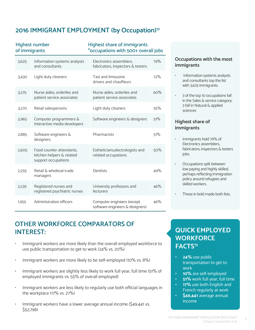# **2016 IMMIGRANT EMPLOYMENT (by Occupation)12**

| of immigrants | <b>Highest number</b>                                                        | <b>Highest share of immigrants</b><br>*occupations with 500+ overall jobs |     |
|---------------|------------------------------------------------------------------------------|---------------------------------------------------------------------------|-----|
| 3,625         | Information systems analysts<br>and consultants                              | Electronics assemblers,<br>fabricators, inspectors & testers              | 79% |
| 3,430         | Light duty cleaners                                                          | Taxi and limousine<br>drivers and chauffeurs                              | 72% |
| 3,275         | Nurse aides, orderlies and<br>patient service associates                     | Nurse aides, orderlies and<br>patient service associates                  | 60% |
| 3,270         | Retail salespersons                                                          | Light duty cleaners                                                       | 55% |
| 2,965         | Computer programmers &<br>interactive media developers                       | Software engineers & designers                                            | 51% |
| 2,885         | Software engineers &<br>designers                                            | Pharmacists                                                               | 51% |
| 2,605         | Food counter attendants,<br>kitchen helpers & related<br>support occupations | Estheticians, electrologists and<br>related occupations                   | 50% |
| 2,255         | Retail & wholesal trade<br>managers                                          | Dentists                                                                  | 49% |
| 2,235         | Registered nurses and<br>registered psychiatric nurses                       | University professors and<br>lecturers                                    | 46% |
| 1,955         | Administrative officers                                                      | Computer engineers (except<br>software engineers & designers)             | 46% |

#### **Occupations with the most immigrants**

- Information systems analysts and consultants top the list with 3,625 immigrants.
- 3 of the top 10 occupations fall in the Sales & service category; 3 fall in Natural & applied sciences

#### **Highest share of immigrants**

- Immigrants hold 79% of Electronics assemblers, fabricators, inspectors & testers jobs.
- Occupations split between low paying and highly skilled, perhaps reflecting immigration policy around refugees and skilled workers.
- Those in bold made both lists.

# **OTHER WORKFORCE COMPARATORS OF INTEREST:**

- Immigrant workers are more likely than the overall employed workforce to use public transportation to get to work (24% vs. 20%)
- Immigrant workers are more likely to be self-employed (10% vs. 8%)
- Immigrant workers are slightly less likely to work full year, full time (51% of employed immigrants vs. 55% of overall employed)
- Immigrant workers are less likely to regularly use both official languages in the workplace (17% vs. 27%)
- Immigrant workers have a lower average annual income (\$49,441 vs. \$52,798)

# **QUICK EMPLOYED WORKFORCE FACTS13**

- **• 24%** use public transportation to get to work
- **• 10%** are self-employed
- **• 51%** work full year, full time
- **• 17%** use both English and French regularly at work
- **• \$49,441** average annual income